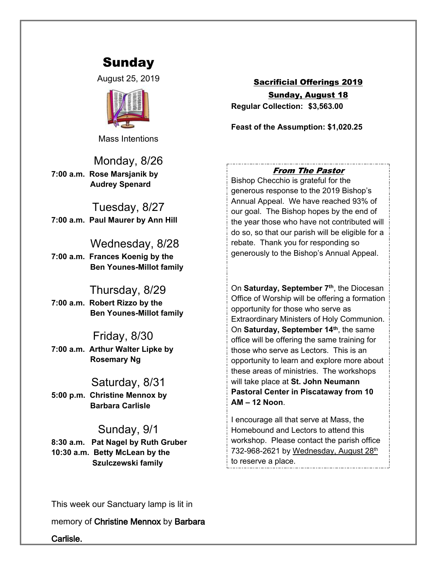# Sunday

August 25, 2019



Mass Intentions

# Monday, 8/26

**7:00 a.m. Rose Marsjanik by Audrey Spenard**

Tuesday, 8/27 **7:00 a.m. Paul Maurer by Ann Hill**

 Wednesday, 8/28 **7:00 a.m. Frances Koenig by the Ben Younes-Millot family**

### Thursday, 8/29

**7:00 a.m. Robert Rizzo by the Ben Younes-Millot family**

#### Friday, 8/30

**7:00 a.m. Arthur Walter Lipke by Rosemary Ng**

#### Saturday, 8/31

**5:00 p.m. Christine Mennox by Barbara Carlisle**

## Sunday, 9/1

**8:30 a.m. Pat Nagel by Ruth Gruber 10:30 a.m. Betty McLean by the Szulczewski family**

Sacrificial Offerings 2019 Sunday, August 18

**Regular Collection: \$3,563.00**

**Feast of the Assumption: \$1,020.25**

### *From The Pastor*

Bishop Checchio is grateful for the generous response to the 2019 Bishop's Annual Appeal. We have reached 93% of our goal. The Bishop hopes by the end of the year those who have not contributed will do so, so that our parish will be eligible for a rebate. Thank you for responding so generously to the Bishop's Annual Appeal.

On **Saturday, September 7th**, the Diocesan Office of Worship will be offering a formation opportunity for those who serve as Extraordinary Ministers of Holy Communion. On **Saturday, September 14th**, the same office will be offering the same training for those who serve as Lectors. This is an opportunity to learn and explore more about these areas of ministries. The workshops will take place at **St. John Neumann Pastoral Center in Piscataway from 10 AM – 12 Noon**.

I encourage all that serve at Mass, the Homebound and Lectors to attend this workshop. Please contact the parish office 732-968-2621 by Wednesday, August 28th to reserve a place.

This week our Sanctuary lamp is lit in

memory of **Christine Mennox** by **Barbara** 

**Carlisle.**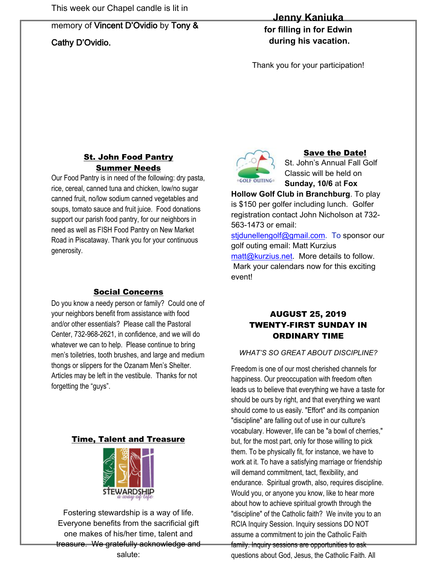# memory of **Vincent D'Ovidio** by **Tony &**

# **Cathy D'Ovidio.**

## **Jenny Kaniuka**

**for filling in for Edwin during his vacation.**

Thank you for your participation!

## St. John Food Pantry Summer Needs

Our Food Pantry is in need of the following: dry pasta, rice, cereal, canned tuna and chicken, low/no sugar canned fruit, no/low sodium canned vegetables and soups, tomato sauce and fruit juice. Food donations support our parish food pantry, for our neighbors in need as well as FISH Food Pantry on New Market Road in Piscataway. Thank you for your continuous generosity.

### Social Concerns

Do you know a needy person or family? Could one of your neighbors benefit from assistance with food and/or other essentials? Please call the Pastoral Center, 732-968-2621, in confidence, and we will do whatever we can to help. Please continue to bring men's toiletries, tooth brushes, and large and medium thongs or slippers for the Ozanam Men's Shelter. Articles may be left in the vestibule. Thanks for not forgetting the "guys".

#### Time, Talent and Treasure



Fostering stewardship is a way of life. Everyone benefits from the sacrificial gift one makes of his/her time, talent and treasure. We gratefully acknowledge and salute:



#### Save the Date!

St. John's Annual Fall Golf Classic will be held on **Sunday, 10/6** at **Fox** 

**Hollow Golf Club in Branchburg**. To play is \$150 per golfer including lunch. Golfer registration contact John Nicholson at 732- 563-1473 or email:

[stjdunellengolf@gmail.com.](mailto:stjdunellengolf@gmail.com) To sponsor our golf outing email: Matt Kurzius [matt@kurzius.net.](mailto:matt@kurzius.net) More details to follow. Mark your calendars now for this exciting event!

### AUGUST 25, 2019 TWENTY-FIRST SUNDAY IN ORDINARY TIME

#### *WHAT'S SO GREAT ABOUT DISCIPLINE?*

Freedom is one of our most cherished channels for happiness. Our preoccupation with freedom often leads us to believe that everything we have a taste for should be ours by right, and that everything we want should come to us easily. "Effort" and its companion "discipline" are falling out of use in our culture's vocabulary. However, life can be "a bowl of cherries," but, for the most part, only for those willing to pick them. To be physically fit, for instance, we have to work at it. To have a satisfying marriage or friendship will demand commitment, tact, flexibility, and endurance. Spiritual growth, also, requires discipline. Would you, or anyone you know, like to hear more about how to achieve spiritual growth through the "discipline" of the Catholic faith? We invite you to an RCIA Inquiry Session. Inquiry sessions DO NOT assume a commitment to join the Catholic Faith family. Inquiry sessions are opportunities to ask questions about God, Jesus, the Catholic Faith. All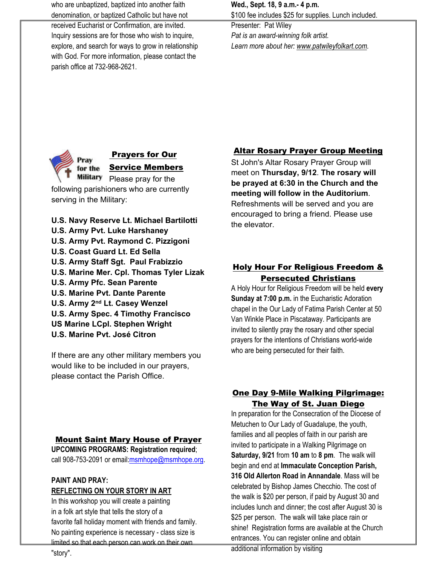who are unbaptized, baptized into another faith denomination, or baptized Catholic but have not

received Eucharist or Confirmation, are invited. Inquiry sessions are for those who wish to inquire, explore, and search for ways to grow in relationship with God. For more information, please contact the parish office at 732-968-2621.

**Wed., Sept. 18, 9 a.m.- 4 p.m.** \$100 fee includes \$25 for supplies. Lunch included.

Presenter: Pat Wiley *Pat is an award-winning folk artist. Learn more about her: [www.patwileyfolkart.com.](http://www.patwileyfolkart.com/)*



#### Prayers for Our Service Members

Military Please pray for the following parishioners who are currently serving in the Military:

**U.S. Navy Reserve Lt. Michael Bartilotti U.S. Army Pvt. Luke Harshaney U.S. Army Pvt. Raymond C. Pizzigoni U.S. Coast Guard Lt. Ed Sella U.S. Army Staff Sgt. Paul Frabizzio U.S. Marine Mer. Cpl. Thomas Tyler Lizak U.S. Army Pfc. Sean Parente U.S. Marine Pvt. Dante Parente U.S. Army 2nd Lt. Casey Wenzel U.S. Army Spec. 4 Timothy Francisco US Marine LCpl. Stephen Wright U.S. Marine Pvt. José Citron**

If there are any other military members you would like to be included in our prayers, please contact the Parish Office.

## Mount Saint Mary House of Prayer **UPCOMING PROGRAMS: Registration required**; call 908-753-2091 or email[:msmhope@msmhope.org](mailto:msmhope@msmhope.org).

#### **PAINT AND PRAY: REFLECTING ON YOUR STORY IN ART**

In this workshop you will create a painting in a folk art style that tells the story of a favorite fall holiday moment with friends and family. No painting experience is necessary - class size is limited so that each person can work on their own

## Altar Rosary Prayer Group Meeting

St John's Altar Rosary Prayer Group will meet on **Thursday, 9/12**. **The rosary will be prayed at 6:30 in the Church and the meeting will follow in the Auditorium**. Refreshments will be served and you are encouraged to bring a friend. Please use the elevator.

## Holy Hour For Religious Freedom & Persecuted Christians

A Holy Hour for Religious Freedom will be held **every Sunday at 7:00 p.m.** in the Eucharistic Adoration chapel in the Our Lady of Fatima Parish Center at 50 Van Winkle Place in Piscataway. Participants are invited to silently pray the rosary and other special prayers for the intentions of Christians world-wide who are being persecuted for their faith.

#### One Day 9-Mile Walking Pilgrimage: The Way of St. Juan Diego

In preparation for the Consecration of the Diocese of Metuchen to Our Lady of Guadalupe, the youth, families and all peoples of faith in our parish are invited to participate in a Walking Pilgrimage on **Saturday, 9/21** from **10 am** to **8 pm**. The walk will begin and end at **Immaculate Conception Parish, 316 Old Allerton Road in Annandale**. Mass will be celebrated by Bishop James Checchio. The cost of the walk is \$20 per person, if paid by August 30 and includes lunch and dinner; the cost after August 30 is \$25 per person. The walk will take place rain or shine! Registration forms are available at the Church entrances. You can register online and obtain

additional information by visiting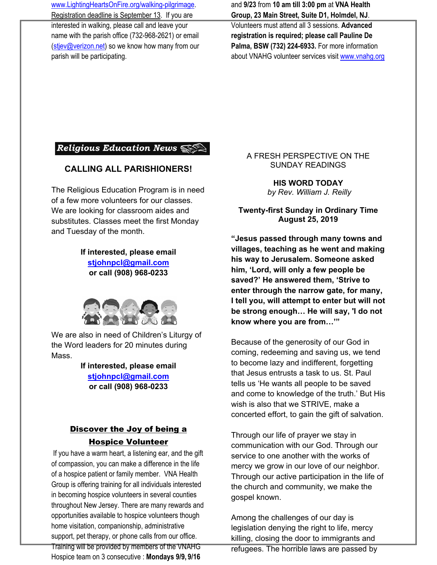[www.LightingHeartsOnFire.org/walking-pilgrimage.](http://www.lightingheartsonfire.org/walking-pilgrimage) Registration deadline is September 13. If you are interested in walking, please call and leave your name with the parish office (732-968-2621) or email [\(stjev@verizon.net\)](mailto:stjev@verizon.net) so we know how many from our parish will be participating.

and **9/23** from **10 am till 3:00 pm** at **VNA Health Group, 23 Main Street, Suite D1, Holmdel, NJ**.

Volunteers must attend all 3 sessions. **Advanced registration is required; please call Pauline De Palma, BSW (732) 224-6933.** For more information about VNAHG volunteer services visit [www.vnahg.org](http://www.vnahg.org/)

# Religious Education News

#### **CALLING ALL PARISHIONERS!**

The Religious Education Program is in need of a few more volunteers for our classes. We are looking for classroom aides and substitutes. Classes meet the first Monday and Tuesday of the month.

# **If interested, please email**

**[stjohnpcl@gmail.com](mailto:stjohnpcl@gmail.com) or call (908) 968-0233**



We are also in need of Children's Liturgy of the Word leaders for 20 minutes during Mass.

> **If interested, please email [stjohnpcl@gmail.com](mailto:stjohnpcl@gmail.com) or call (908) 968-0233**

# Discover the Joy of being a Hospice Volunteer

If you have a warm heart, a listening ear, and the gift of compassion, you can make a difference in the life of a hospice patient or family member. VNA Health Group is offering training for all individuals interested in becoming hospice volunteers in several counties throughout New Jersey. There are many rewards and opportunities available to hospice volunteers though home visitation, companionship, administrative support, pet therapy, or phone calls from our office. Training will be provided by members of the VNAHG Hospice team on 3 consecutive : **Mondays 9/9, 9/16**

#### A FRESH PERSPECTIVE ON THE SUNDAY READINGS

**HIS WORD TODAY** *by Rev. William J. Reilly*

**Twenty-first Sunday in Ordinary Time August 25, 2019**

**"Jesus passed through many towns and villages, teaching as he went and making his way to Jerusalem. Someone asked him, 'Lord, will only a few people be saved?' He answered them, 'Strive to enter through the narrow gate, for many, I tell you, will attempt to enter but will not be strong enough… He will say, 'I do not know where you are from…'"**

Because of the generosity of our God in coming, redeeming and saving us, we tend to become lazy and indifferent, forgetting that Jesus entrusts a task to us. St. Paul tells us 'He wants all people to be saved and come to knowledge of the truth.' But His wish is also that we STRIVE, make a concerted effort, to gain the gift of salvation.

Through our life of prayer we stay in communication with our God. Through our service to one another with the works of mercy we grow in our love of our neighbor. Through our active participation in the life of the church and community, we make the gospel known.

Among the challenges of our day is legislation denying the right to life, mercy killing, closing the door to immigrants and

refugees. The horrible laws are passed by